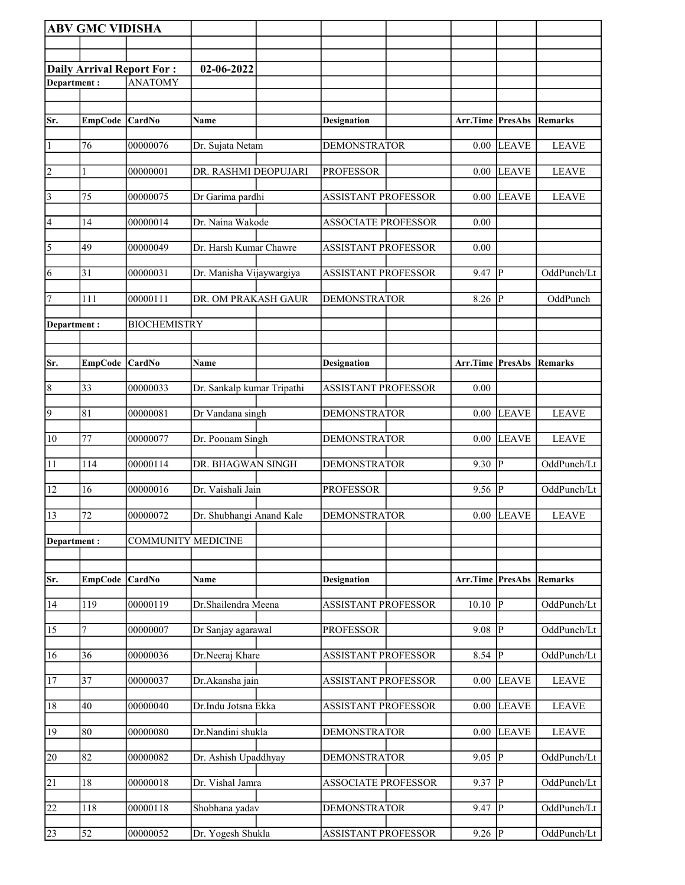|                | <b>ABV GMC VIDISHA</b> |                                  |                            |                            |                            |                         |                |                |
|----------------|------------------------|----------------------------------|----------------------------|----------------------------|----------------------------|-------------------------|----------------|----------------|
|                |                        |                                  |                            |                            |                            |                         |                |                |
|                |                        | <b>Daily Arrival Report For:</b> | 02-06-2022                 |                            |                            |                         |                |                |
| Department:    |                        | <b>ANATOMY</b>                   |                            |                            |                            |                         |                |                |
|                |                        |                                  |                            |                            |                            |                         |                |                |
| Sr.            | EmpCode CardNo         |                                  | Name                       | <b>Designation</b>         |                            | <b>Arr.Time PresAbs</b> |                | Remarks        |
| $\vert$ 1      | 76                     | 00000076                         | Dr. Sujata Netam           | <b>DEMONSTRATOR</b>        |                            | $0.00\,$                | <b>LEAVE</b>   | <b>LEAVE</b>   |
| 2              | 1                      | 00000001                         | DR. RASHMI DEOPUJARI       | <b>PROFESSOR</b>           |                            | 0.00                    | <b>LEAVE</b>   | <b>LEAVE</b>   |
| $\vert$ 3      | 75                     | 00000075                         | Dr Garima pardhi           | <b>ASSISTANT PROFESSOR</b> |                            | $0.00\,$                | <b>LEAVE</b>   | <b>LEAVE</b>   |
| 4              | 14                     | 00000014                         | Dr. Naina Wakode           | <b>ASSOCIATE PROFESSOR</b> |                            | 0.00                    |                |                |
| $\sqrt{5}$     | 49                     | 00000049                         | Dr. Harsh Kumar Chawre     | <b>ASSISTANT PROFESSOR</b> |                            | 0.00                    |                |                |
| 6              | 31                     | 00000031                         | Dr. Manisha Vijaywargiya   | <b>ASSISTANT PROFESSOR</b> |                            | 9.47                    | $ {\bf P} $    | OddPunch/Lt    |
| 7              | 111                    | 00000111                         | DR. OM PRAKASH GAUR        | <b>DEMONSTRATOR</b>        |                            | 8.26 $\sqrt{P}$         |                | OddPunch       |
| Department :   |                        | <b>BIOCHEMISTRY</b>              |                            |                            |                            |                         |                |                |
|                |                        |                                  |                            |                            |                            |                         |                |                |
| Sr.            | <b>EmpCode</b>         | CardNo                           | Name                       | <b>Designation</b>         |                            | Arr.Time PresAbs        |                | <b>Remarks</b> |
| 8              | 33                     | 00000033                         | Dr. Sankalp kumar Tripathi | <b>ASSISTANT PROFESSOR</b> |                            | 0.00                    |                |                |
| $\overline{9}$ | 81                     | 00000081                         | Dr Vandana singh           | <b>DEMONSTRATOR</b>        |                            | 0.00                    | <b>LEAVE</b>   | <b>LEAVE</b>   |
| 10             | 77                     | 00000077                         | Dr. Poonam Singh           | <b>DEMONSTRATOR</b>        |                            | 0.00                    | <b>LEAVE</b>   | <b>LEAVE</b>   |
| 11             | 114                    | 00000114                         | DR. BHAGWAN SINGH          | <b>DEMONSTRATOR</b>        |                            | $9.30$ P                |                | OddPunch/Lt    |
| 12             | 16                     | 00000016                         | Dr. Vaishali Jain          | <b>PROFESSOR</b>           |                            | $9.56$ P                |                | OddPunch/Lt    |
| $\sqrt{13}$    | 72                     | 00000072                         | Dr. Shubhangi Anand Kale   | <b>DEMONSTRATOR</b>        |                            |                         | $0.00$ LEAVE   | <b>LEAVE</b>   |
| Department:    |                        | <b>COMMUNITY MEDICINE</b>        |                            |                            |                            |                         |                |                |
|                |                        |                                  |                            |                            |                            |                         |                |                |
| Sr.            | <b>EmpCode</b>         | <b>CardNo</b>                    | <b>Name</b>                | <b>Designation</b>         |                            | Arr.Time PresAbs        |                | Remarks        |
| 14             | 119                    | 00000119                         | Dr.Shailendra Meena        | <b>ASSISTANT PROFESSOR</b> |                            | $10.10$ P               |                | OddPunch/Lt    |
| 15             | 7                      | 00000007                         | Dr Sanjay agarawal         | <b>PROFESSOR</b>           |                            | 9.08                    | $ {\bf p} $    | OddPunch/Lt    |
| 16             | 36                     | 00000036                         | Dr.Neeraj Khare            | <b>ASSISTANT PROFESSOR</b> |                            | 8.54                    | P              | OddPunch/Lt    |
| <sup>17</sup>  | 37                     | 00000037                         | Dr.Akansha jain            | <b>ASSISTANT PROFESSOR</b> |                            | 0.00                    | LEAVE          | <b>LEAVE</b>   |
| 18             | 40                     | 00000040                         | Dr.Indu Jotsna Ekka        | <b>ASSISTANT PROFESSOR</b> |                            | 0.00                    | <b>LEAVE</b>   | <b>LEAVE</b>   |
| 19             | 80                     | 00000080                         | Dr.Nandini shukla          | <b>DEMONSTRATOR</b>        |                            | 0.00                    | <b>LEAVE</b>   | <b>LEAVE</b>   |
| 20             | 82                     | 00000082                         | Dr. Ashish Upaddhyay       | <b>DEMONSTRATOR</b>        |                            | 9.05                    | $\overline{P}$ | OddPunch/Lt    |
| 21             | 18                     | 00000018                         | Dr. Vishal Jamra           |                            | <b>ASSOCIATE PROFESSOR</b> | 9.37                    | $\overline{P}$ | OddPunch/Lt    |
| 22             | 118                    | 00000118                         | Shobhana yadav             | <b>DEMONSTRATOR</b>        |                            | 9.47                    | $ {\bf p} $    | OddPunch/Lt    |
| 23             | 52                     | 00000052                         | Dr. Yogesh Shukla          | <b>ASSISTANT PROFESSOR</b> |                            | $9.26$ P                |                | OddPunch/Lt    |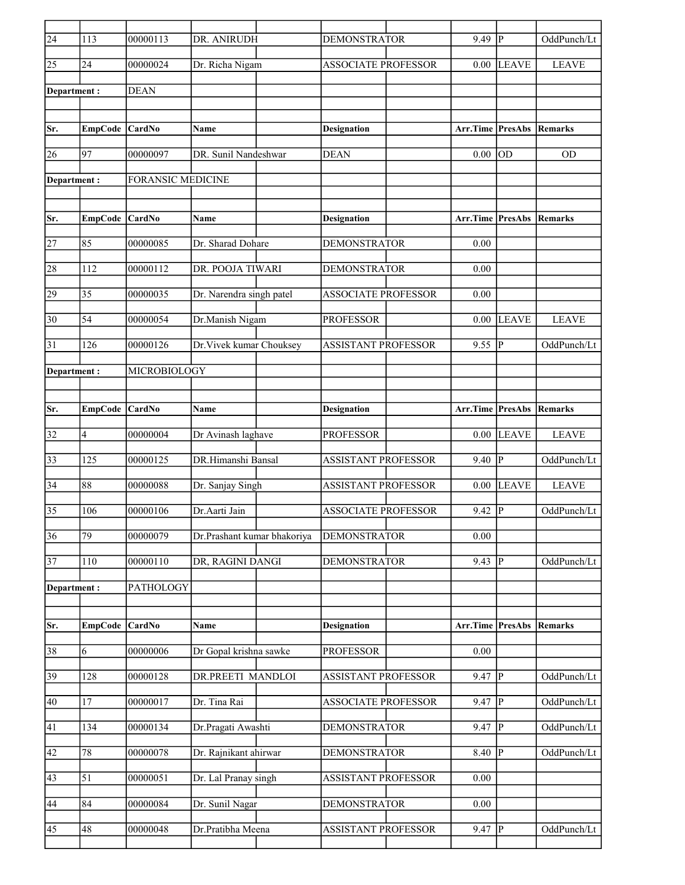| $\overline{24}$    | 113             | 00000113                 | DR. ANIRUDH                 | <b>DEMONSTRATOR</b>        | 9.49     | P              | OddPunch/Lt  |
|--------------------|-----------------|--------------------------|-----------------------------|----------------------------|----------|----------------|--------------|
| $\overline{25}$    | 24              | 00000024                 | Dr. Richa Nigam             | <b>ASSOCIATE PROFESSOR</b> | 0.00     | <b>LEAVE</b>   | <b>LEAVE</b> |
| Department:        |                 | <b>DEAN</b>              |                             |                            |          |                |              |
|                    |                 |                          |                             |                            |          |                |              |
| Sr.                | <b>EmpCode</b>  | CardNo                   | Name                        | <b>Designation</b>         | Arr.Time | PresAbs        | Remarks      |
| 26                 | 97              | 00000097                 | DR. Sunil Nandeshwar        | <b>DEAN</b>                | 0.00     | OD             | <b>OD</b>    |
| Department:        |                 | <b>FORANSIC MEDICINE</b> |                             |                            |          |                |              |
|                    |                 |                          |                             |                            |          |                |              |
| Sr.                | <b>EmpCode</b>  | CardNo                   | Name                        | <b>Designation</b>         | Arr.Time | <b>PresAbs</b> | Remarks      |
|                    |                 |                          |                             |                            |          |                |              |
| 27                 | 85              | 00000085                 | Dr. Sharad Dohare           | <b>DEMONSTRATOR</b>        | 0.00     |                |              |
| 28                 | 112             | 00000112                 | DR. POOJA TIWARI            | <b>DEMONSTRATOR</b>        | 0.00     |                |              |
| 29                 | 35              | 00000035                 | Dr. Narendra singh patel    | <b>ASSOCIATE PROFESSOR</b> | 0.00     |                |              |
| $\overline{30}$    | 54              | 00000054                 | Dr.Manish Nigam             | <b>PROFESSOR</b>           | 0.00     | <b>LEAVE</b>   | <b>LEAVE</b> |
| 31                 | 126             | 00000126                 | Dr. Vivek kumar Chouksey    | <b>ASSISTANT PROFESSOR</b> | 9.55     | P              | OddPunch/Lt  |
| <b>Department:</b> |                 | MICROBIOLOGY             |                             |                            |          |                |              |
|                    |                 |                          |                             |                            |          |                |              |
|                    |                 |                          |                             |                            |          |                |              |
| Sr.                | <b>EmpCode</b>  | <b>CardNo</b>            | Name                        | <b>Designation</b>         | Arr.Time | <b>PresAbs</b> | Remarks      |
| 32                 | 4               | 00000004                 | Dr Avinash laghave          | <b>PROFESSOR</b>           | 0.00     | <b>LEAVE</b>   | <b>LEAVE</b> |
| 33                 | 125             | 00000125                 | DR.Himanshi Bansal          | <b>ASSISTANT PROFESSOR</b> | 9.40     | P              | OddPunch/Lt  |
| 34                 | 88              | 00000088                 | Dr. Sanjay Singh            | <b>ASSISTANT PROFESSOR</b> | 0.00     | <b>LEAVE</b>   | <b>LEAVE</b> |
| $\overline{35}$    | 106             | 00000106                 | Dr.Aarti Jain               | <b>ASSOCIATE PROFESSOR</b> | 9.42     | $\mathbf{P}$   | OddPunch/Lt  |
| $\overline{36}$    | $\overline{79}$ | 00000079                 | Dr.Prashant kumar bhakoriya | <b>DEMONSTRATOR</b>        | 0.00     |                |              |
| $\overline{37}$    | $110\,$         | 00000110                 | DR, RAGINI DANGI            | <b>DEMONSTRATOR</b>        | 9.43     | P              | OddPunch/Lt  |
| Department:        |                 | PATHOLOGY                |                             |                            |          |                |              |
|                    |                 |                          |                             |                            |          |                |              |
| Sr.                | <b>EmpCode</b>  | CardNo                   | Name                        | <b>Designation</b>         | Arr.Time | <b>PresAbs</b> | Remarks      |
| 38                 | 6               | 00000006                 | Dr Gopal krishna sawke      | <b>PROFESSOR</b>           | 0.00     |                |              |
| 39                 | 128             | 00000128                 | DR.PREETI MANDLOI           | <b>ASSISTANT PROFESSOR</b> | 9.47     | P              | OddPunch/Lt  |
| 40                 | 17              | 00000017                 | Dr. Tina Rai                | <b>ASSOCIATE PROFESSOR</b> | 9.47     | P              | OddPunch/Lt  |
| 41                 | 134             | 00000134                 | Dr.Pragati Awashti          | <b>DEMONSTRATOR</b>        | $9.47$ P |                | OddPunch/Lt  |
| 42                 | 78              | 00000078                 | Dr. Rajnikant ahirwar       | <b>DEMONSTRATOR</b>        | 8.40     | P              | OddPunch/Lt  |
| 43                 | 51              | 00000051                 | Dr. Lal Pranay singh        | ASSISTANT PROFESSOR        | 0.00     |                |              |
|                    |                 |                          |                             |                            |          |                |              |
| 44                 | 84              | 00000084                 | Dr. Sunil Nagar             | <b>DEMONSTRATOR</b>        | $0.00\,$ |                |              |
| 45                 | 48              | 00000048                 | Dr.Pratibha Meena           | <b>ASSISTANT PROFESSOR</b> | 9.47     | P              | OddPunch/Lt  |
|                    |                 |                          |                             |                            |          |                |              |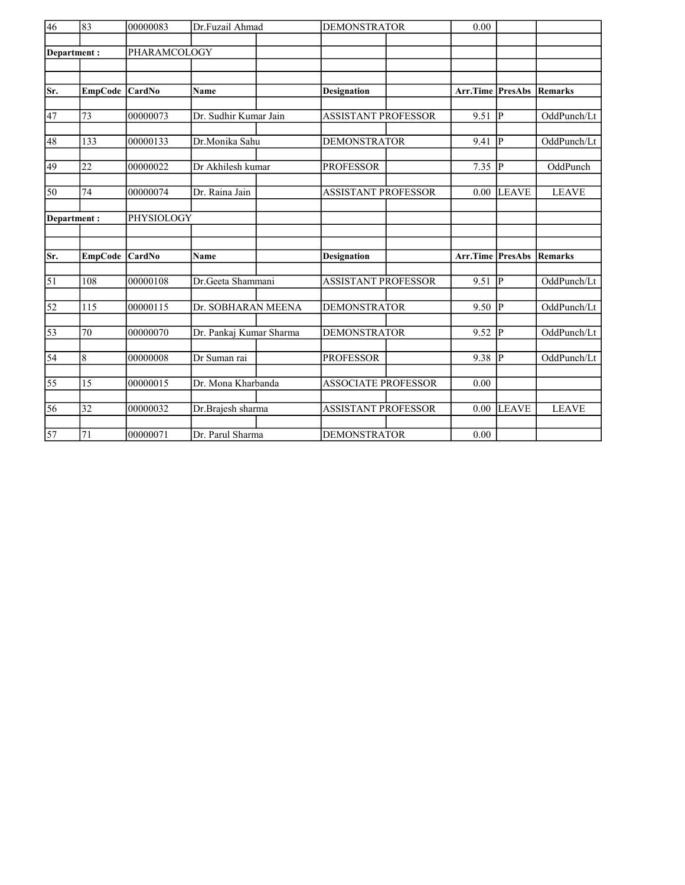| 46              | 83              | 00000083     | Dr.Fuzail Ahmad         | <b>DEMONSTRATOR</b>        | 0.00     |              |                |
|-----------------|-----------------|--------------|-------------------------|----------------------------|----------|--------------|----------------|
| Department:     |                 | PHARAMCOLOGY |                         |                            |          |              |                |
|                 |                 |              |                         |                            |          |              |                |
|                 |                 |              |                         |                            |          |              |                |
| Sr.             | <b>EmpCode</b>  | CardNo       | Name                    | <b>Designation</b>         | Arr.Time | PresAbs      | <b>Remarks</b> |
|                 |                 |              |                         |                            |          |              |                |
| 47              | 73              | 00000073     | Dr. Sudhir Kumar Jain   | <b>ASSISTANT PROFESSOR</b> | 9.51     | IР           | OddPunch/Lt    |
| 48              | 133             | 00000133     | Dr.Monika Sahu          | <b>DEMONSTRATOR</b>        | 9.41     | lР           | OddPunch/Lt    |
|                 |                 |              |                         |                            |          |              |                |
| 49              | 22              | 00000022     | Dr Akhilesh kumar       | <b>PROFESSOR</b>           | 7.35     | P            | OddPunch       |
| 50              | 74              | 00000074     | Dr. Raina Jain          | <b>ASSISTANT PROFESSOR</b> | 0.00     | <b>LEAVE</b> | <b>LEAVE</b>   |
|                 |                 |              |                         |                            |          |              |                |
| Department:     |                 | PHYSIOLOGY   |                         |                            |          |              |                |
|                 |                 |              |                         |                            |          |              |                |
|                 |                 |              |                         |                            |          |              |                |
| Sr.             | <b>EmpCode</b>  | CardNo       | Name                    | Designation                | Arr.Time | PresAbs      | <b>Remarks</b> |
| $\vert$ 51      | 108             | 00000108     | Dr.Geeta Shammani       | <b>ASSISTANT PROFESSOR</b> | 9.51     | lР           | OddPunch/Lt    |
|                 |                 |              |                         |                            |          |              |                |
| 52              | 115             | 00000115     | Dr. SOBHARAN MEENA      | <b>DEMONSTRATOR</b>        | 9.50     | P            | OddPunch/Lt    |
| $\overline{53}$ | 70              | 00000070     | Dr. Pankaj Kumar Sharma | <b>DEMONSTRATOR</b>        | 9.52     | lР           | OddPunch/Lt    |
|                 |                 |              |                         |                            |          |              |                |
| $\sqrt{54}$     | 8               | 00000008     | Dr Suman rai            | <b>PROFESSOR</b>           | 9.38     | p            | OddPunch/Lt    |
|                 |                 |              |                         |                            |          |              |                |
| $\overline{55}$ | 15              | 00000015     | Dr. Mona Kharbanda      | <b>ASSOCIATE PROFESSOR</b> | 0.00     |              |                |
| $\overline{56}$ | $\overline{32}$ | 00000032     | Dr.Brajesh sharma       | <b>ASSISTANT PROFESSOR</b> | 0.00     | LEAVE        | <b>LEAVE</b>   |
|                 |                 |              |                         |                            |          |              |                |
| $\overline{57}$ | 71              | 00000071     | Dr. Parul Sharma        | <b>DEMONSTRATOR</b>        | 0.00     |              |                |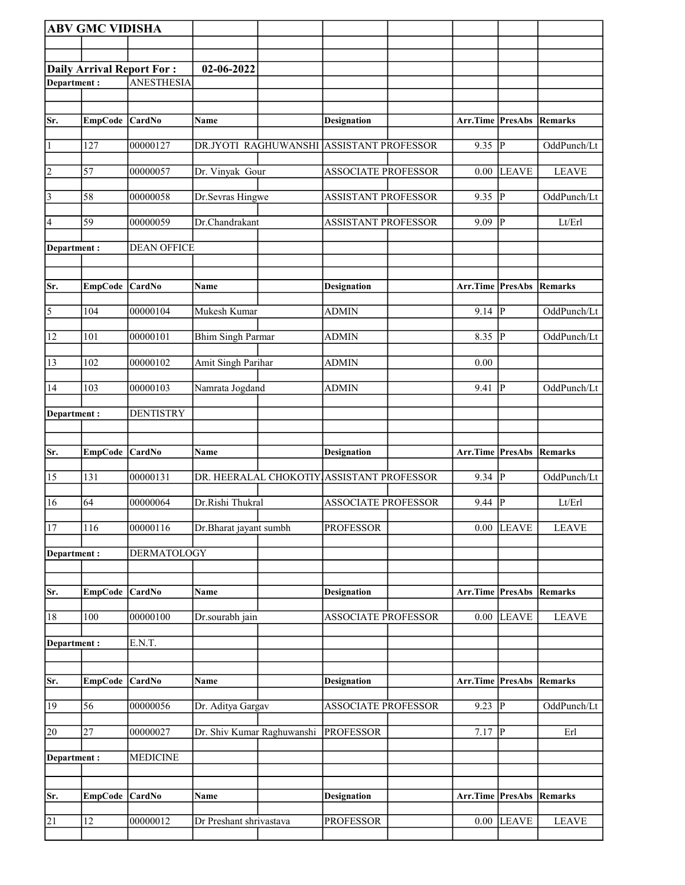|                    | <b>ABV GMC VIDISHA</b> |                                  |                                           |                            |                                 |                |                        |
|--------------------|------------------------|----------------------------------|-------------------------------------------|----------------------------|---------------------------------|----------------|------------------------|
|                    |                        |                                  |                                           |                            |                                 |                |                        |
|                    |                        | <b>Daily Arrival Report For:</b> | 02-06-2022                                |                            |                                 |                |                        |
| <b>Department:</b> |                        | <b>ANESTHESIA</b>                |                                           |                            |                                 |                |                        |
|                    |                        |                                  |                                           |                            |                                 |                |                        |
| Sr.                | EmpCode CardNo         |                                  | Name                                      | <b>Designation</b>         | <b>Arr.Time PresAbs Remarks</b> |                |                        |
|                    |                        |                                  |                                           |                            |                                 |                |                        |
| $\vert$ 1          | 127                    | 00000127                         | DR.JYOTI RAGHUWANSHI ASSISTANT PROFESSOR  |                            | $9.35$ P                        |                | OddPunch/Lt            |
| $\overline{2}$     | 57                     | 00000057                         | Dr. Vinyak Gour                           | <b>ASSOCIATE PROFESSOR</b> | 0.00                            | <b>LEAVE</b>   | <b>LEAVE</b>           |
| $\vert$ 3          | 58                     | 00000058                         | Dr.Sevras Hingwe                          | <b>ASSISTANT PROFESSOR</b> | 9.35                            | ∣P             | OddPunch/Lt            |
| 4                  | 59                     | 00000059                         | Dr.Chandrakant                            | <b>ASSISTANT PROFESSOR</b> | 9.09                            | P              | Lt/Erl                 |
| Department :       |                        | <b>DEAN OFFICE</b>               |                                           |                            |                                 |                |                        |
| Sr.                | EmpCode CardNo         |                                  | <b>Name</b>                               | <b>Designation</b>         | <b>Arr.Time PresAbs Remarks</b> |                |                        |
|                    |                        |                                  |                                           | <b>ADMIN</b>               |                                 | P              |                        |
| $\overline{5}$     | 104                    | 00000104                         | Mukesh Kumar                              |                            | 9.14                            |                | OddPunch/Lt            |
| 12                 | 101                    | 00000101                         | <b>Bhim Singh Parmar</b>                  | <b>ADMIN</b>               | 8.35                            | P              | OddPunch/Lt            |
| 13                 | 102                    | 00000102                         | <b>Amit Singh Parihar</b>                 | <b>ADMIN</b>               | 0.00                            |                |                        |
| 14                 | 103                    | 00000103                         | Namrata Jogdand                           | <b>ADMIN</b>               | 9.41                            | $\overline{P}$ | OddPunch/Lt            |
| Department:        |                        | <b>DENTISTRY</b>                 |                                           |                            |                                 |                |                        |
|                    |                        |                                  |                                           |                            |                                 |                |                        |
|                    |                        |                                  |                                           |                            |                                 |                |                        |
| Sr.                | <b>EmpCode</b>         | <b>CardNo</b>                    | Name                                      | <b>Designation</b>         | Arr.Time                        | PresAbs        | Remarks                |
| 15                 | 131                    | 00000131                         | DR. HEERALAL CHOKOTIY ASSISTANT PROFESSOR |                            | $9.34$ P                        |                | OddPunch/Lt            |
| 16                 | 64                     | 00000064                         | Dr.Rishi Thukral                          | <b>ASSOCIATE PROFESSOR</b> | 9.44                            | $\overline{P}$ | Lt/Erl                 |
| 17                 | 116                    | 00000116                         | Dr.Bharat jayant sumbh                    | <b>PROFESSOR</b>           |                                 | $0.00$ LEAVE   | <b>LEAVE</b>           |
| Department:        |                        | <b>DERMATOLOGY</b>               |                                           |                            |                                 |                |                        |
|                    |                        |                                  |                                           |                            |                                 |                |                        |
| Sr.                | <b>EmpCode</b>         | CardNo                           | Name                                      | <b>Designation</b>         | Arr.Time                        | PresAbs        | Remarks                |
| 18                 | 100                    | 00000100                         | Dr.sourabh jain                           | <b>ASSOCIATE PROFESSOR</b> | 0.00                            | <b>LEAVE</b>   | <b>LEAVE</b>           |
| Department:        |                        | E.N.T.                           |                                           |                            |                                 |                |                        |
|                    |                        |                                  |                                           |                            |                                 |                |                        |
| Sr.                | EmpCode CardNo         |                                  | Name                                      | <b>Designation</b>         | <b>Arr.Time PresAbs Remarks</b> |                |                        |
| 19                 | 56                     | 00000056                         | Dr. Aditya Gargav                         | <b>ASSOCIATE PROFESSOR</b> | 9.23  P                         |                | OddPunch/Lt            |
| 20                 | 27                     | 00000027                         | Dr. Shiv Kumar Raghuwanshi                | <b>PROFESSOR</b>           | 7.17                            | $\overline{P}$ | Erl                    |
| Department:        |                        | <b>MEDICINE</b>                  |                                           |                            |                                 |                |                        |
|                    |                        |                                  |                                           |                            |                                 |                |                        |
| Sr.                | EmpCode CardNo         |                                  | Name                                      | <b>Designation</b>         | Arr.Time                        |                | <b>PresAbs Remarks</b> |
| 21                 | 12                     | 00000012                         | Dr Preshant shrivastava                   | <b>PROFESSOR</b>           | $0.00\,$                        | <b>LEAVE</b>   | <b>LEAVE</b>           |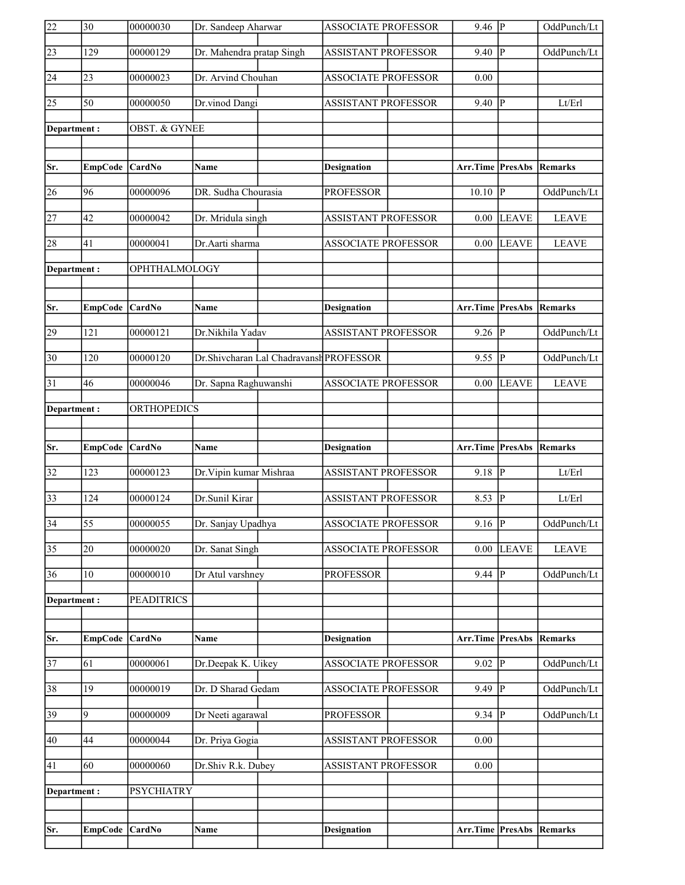| $\overline{22}$ | $\overline{30}$ | 00000030             | Dr. Sandeep Aharwar       |                                         | <b>ASSOCIATE PROFESSOR</b> | $9.46$ P                        |                | OddPunch/Lt            |
|-----------------|-----------------|----------------------|---------------------------|-----------------------------------------|----------------------------|---------------------------------|----------------|------------------------|
| 23              | 129             | 00000129             | Dr. Mahendra pratap Singh |                                         | <b>ASSISTANT PROFESSOR</b> | 9.40                            | $\overline{P}$ | OddPunch/Lt            |
| 24              | 23              | 00000023             | Dr. Arvind Chouhan        |                                         | <b>ASSOCIATE PROFESSOR</b> | 0.00                            |                |                        |
| 25              | $\overline{50}$ | 00000050             | Dr.vinod Dangi            |                                         | <b>ASSISTANT PROFESSOR</b> | 9.40                            | $\mathbf P$    | Lt/Erl                 |
| Department:     |                 | OBST. & GYNEE        |                           |                                         |                            |                                 |                |                        |
|                 |                 |                      |                           |                                         |                            |                                 |                |                        |
| Sr.             | <b>EmpCode</b>  | <b>CardNo</b>        | Name                      |                                         | <b>Designation</b>         | Arr.Time PresAbs                |                | Remarks                |
| 26              | 96              | 00000096             | DR. Sudha Chourasia       |                                         | <b>PROFESSOR</b>           | 10.10                           | P              | OddPunch/Lt            |
| 27              | 42              | 00000042             | Dr. Mridula singh         |                                         | <b>ASSISTANT PROFESSOR</b> | 0.00                            | <b>LEAVE</b>   | <b>LEAVE</b>           |
| 28              | 41              | 00000041             | Dr.Aarti sharma           |                                         | <b>ASSOCIATE PROFESSOR</b> | 0.00                            | <b>LEAVE</b>   | <b>LEAVE</b>           |
| Department:     |                 | <b>OPHTHALMOLOGY</b> |                           |                                         |                            |                                 |                |                        |
|                 |                 |                      |                           |                                         |                            |                                 |                |                        |
| Sr.             | EmpCode         | CardNo               | Name                      |                                         | <b>Designation</b>         | Arr.Time                        | PresAbs        | Remarks                |
| 29              | 121             | 00000121             | Dr.Nikhila Yadav          |                                         | <b>ASSISTANT PROFESSOR</b> | 9.26                            | p              | OddPunch/Lt            |
| $ 30\rangle$    | 120             | 00000120             |                           | Dr.Shivcharan Lal Chadravansh PROFESSOR |                            | 9.55                            | lР             | OddPunch/Lt            |
| 31              | 46              | 00000046             | Dr. Sapna Raghuwanshi     |                                         | <b>ASSOCIATE PROFESSOR</b> | 0.00                            | <b>LEAVE</b>   | <b>LEAVE</b>           |
| Department:     |                 | <b>ORTHOPEDICS</b>   |                           |                                         |                            |                                 |                |                        |
|                 |                 |                      |                           |                                         |                            |                                 |                |                        |
|                 |                 |                      |                           |                                         |                            |                                 |                |                        |
| Sr.             | EmpCode         | <b>CardNo</b>        | Name                      |                                         | <b>Designation</b>         | Arr.Time                        |                | <b>PresAbs Remarks</b> |
| 32              | 123             | 00000123             | Dr. Vipin kumar Mishraa   |                                         | ASSISTANT PROFESSOR        | 9.18                            | IР             | Lt/Erl                 |
| 33              | 124             | 00000124             | Dr.Sunil Kirar            |                                         | <b>ASSISTANT PROFESSOR</b> | 8.53                            | p              | Lt/Erl                 |
| $\overline{34}$ | $\overline{55}$ | 00000055             | Dr. Sanjay Upadhya        |                                         | ASSOCIATE PROFESSOR        | $9.16$ P                        |                | OddPunch/Lt            |
| $\overline{35}$ | 20              | 00000020             | Dr. Sanat Singh           |                                         | <b>ASSOCIATE PROFESSOR</b> | 0.00                            | <b>LEAVE</b>   | <b>LEAVE</b>           |
| 36              | 10              | 00000010             | Dr Atul varshney          |                                         | <b>PROFESSOR</b>           | 9.44                            | lP.            | OddPunch/Lt            |
| Department:     |                 | <b>PEADITRICS</b>    |                           |                                         |                            |                                 |                |                        |
|                 |                 |                      |                           |                                         |                            |                                 |                |                        |
| Sr.             | <b>EmpCode</b>  | CardNo               | <b>Name</b>               |                                         | <b>Designation</b>         | Arr.Time PresAbs                |                | Remarks                |
| 37              | 61              | 00000061             | Dr.Deepak K. Uikey        |                                         | <b>ASSOCIATE PROFESSOR</b> | 9.02                            | P              | OddPunch/Lt            |
| 38              | 19              | 00000019             | Dr. D Sharad Gedam        |                                         | <b>ASSOCIATE PROFESSOR</b> | 9.49                            | P              | OddPunch/Lt            |
| 39              | 9               | 00000009             | Dr Neeti agarawal         |                                         | <b>PROFESSOR</b>           | 9.34 $\vert \overline{P} \vert$ |                | OddPunch/Lt            |
| 40              | 44              | 00000044             | Dr. Priya Gogia           |                                         | <b>ASSISTANT PROFESSOR</b> | 0.00                            |                |                        |
| 41              | 60              | 00000060             | Dr.Shiv R.k. Dubey        |                                         | ASSISTANT PROFESSOR        | 0.00                            |                |                        |
| Department:     |                 | <b>PSYCHIATRY</b>    |                           |                                         |                            |                                 |                |                        |
|                 |                 |                      |                           |                                         |                            |                                 |                |                        |